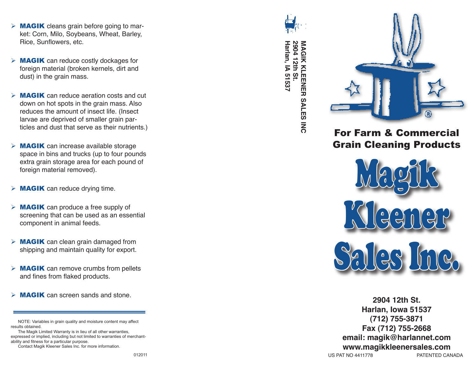- $\triangleright$  **MAGIK** cleans grain before going to market: Corn, Milo, Soybeans, Wheat, Barley, Rice, Sunflowers, etc.
- $\triangleright$  **MAGIK** can reduce costly dockages for foreign material (broken kernels, dirt and dust) in the grain mass.
- $\triangleright$  **MAGIK** can reduce aeration costs and cut down on hot spots in the grain mass. Also reduces the amount of insect life. (Insect larvae are deprived of smaller grain particles and dust that serve as their nutrients.)
- $\triangleright$  **MAGIK** can increase available storage space in bins and trucks (up to four pounds extra grain storage area for each pound of foreign material removed).
- $\triangleright$  **MAGIK** can reduce drying time.
- $\triangleright$  **MAGIK** can produce a free supply of screening that can be used as an essential component in animal feeds.
- $\triangleright$  **MAGIK** can clean grain damaged from shipping and maintain quality for export.
- $\triangleright$  **MAGIK** can remove crumbs from pellets and fines from flaked products.
- $\triangleright$  **MAGIK** can screen sands and stone.

Contact Magik Kleener Sales Inc. for more information.



Harlan, IA 51537 **Harlan, IA 51537** 2904 12th St. **2904 12th St. MAGIK KLEENER SALES INC MAGIK KLEENER SALES INC**



## For Farm & Commercial Grain Cleaning Products



**2904 12th St. Harlan, Iowa 51537 (712) 755-3871 Fax (712) 755-2668 email: magik@harlannet.com www.magikkleenersales.com**<br>PATENTED CAN

PATENTED CANADA

NOTE: Variables in grain quality and moisture content may affect results obtained.

The Magik Limited Warranty is in lieu of all other warranties, expressed or implied, including but not limited to warranties of merchantability and fitness for a particular purpose.